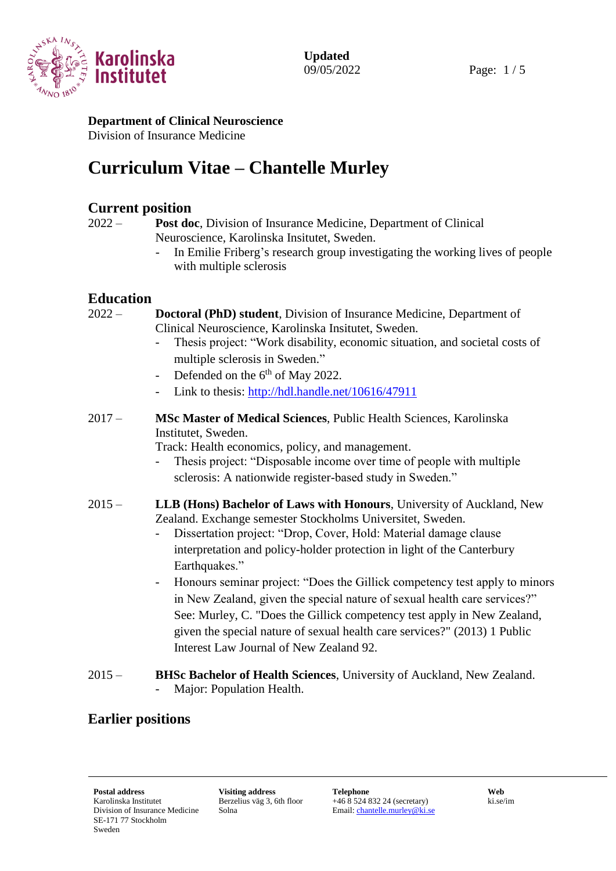

#### **Department of Clinical Neuroscience** Division of Insurance Medicine

# **Curriculum Vitae – Chantelle Murley**

## **Current position**

2022 – **Post doc**, Division of Insurance Medicine, Department of Clinical Neuroscience, Karolinska Insitutet, Sweden.

> - In Emilie Friberg's research group investigating the working lives of people with multiple sclerosis

## **Education**

2022 – **Doctoral (PhD) student**, Division of Insurance Medicine, Department of Clinical Neuroscience, Karolinska Insitutet, Sweden.

- Thesis project: "Work disability, economic situation, and societal costs of multiple sclerosis in Sweden."
- Defended on the  $6<sup>th</sup>$  of May 2022.
- Link to thesis:<http://hdl.handle.net/10616/47911>
- 2017 **MSc Master of Medical Sciences**, Public Health Sciences, Karolinska Institutet, Sweden.

Track: Health economics, policy, and management.

- Thesis project: "Disposable income over time of people with multiple sclerosis: A nationwide register-based study in Sweden."
- 2015 **LLB (Hons) Bachelor of Laws with Honours**, University of Auckland, New Zealand. Exchange semester Stockholms Universitet, Sweden.
	- Dissertation project: "Drop, Cover, Hold: Material damage clause interpretation and policy-holder protection in light of the Canterbury Earthquakes."
	- Honours seminar project: "Does the Gillick competency test apply to minors in New Zealand, given the special nature of sexual health care services?" See: Murley, C. "Does the Gillick competency test apply in New Zealand, given the special nature of sexual health care services?" (2013) 1 Public Interest Law Journal of New Zealand 92.
- 2015 **BHSc Bachelor of Health Sciences**, University of Auckland, New Zealand. Major: Population Health.

## **Earlier positions**

Berzelius väg 3, 6th floor Solna

+46 8 524 832 24 (secretary) Email[: chantelle.murley@ki.se](mailto:chantelle.murley@ki.se) ki.se/im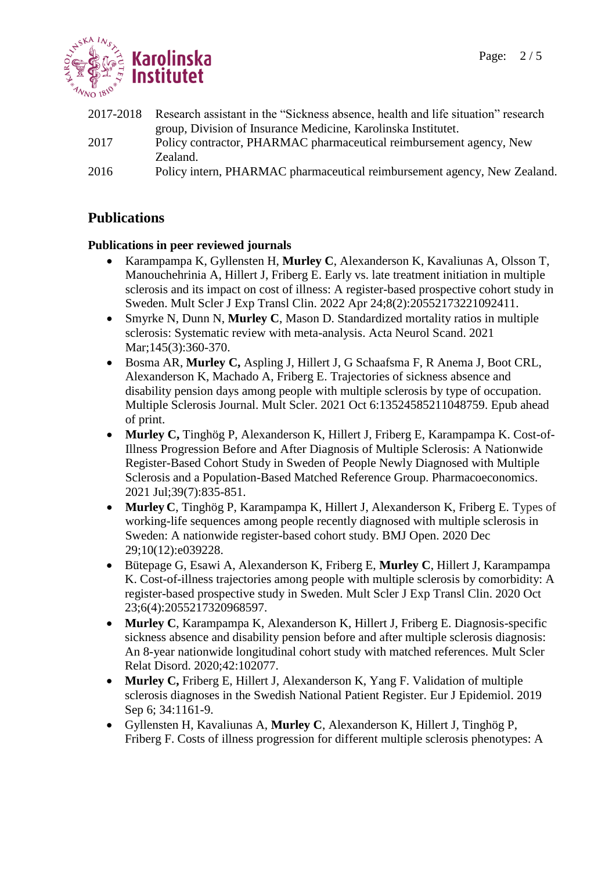

2017-2018 Research assistant in the "Sickness absence, health and life situation" research group, Division of Insurance Medicine, Karolinska Institutet. 2017 Policy contractor, PHARMAC pharmaceutical reimbursement agency, New Zealand. 2016 Policy intern, PHARMAC pharmaceutical reimbursement agency, New Zealand.

## **Publications**

### **Publications in peer reviewed journals**

- Karampampa K, Gyllensten H, **Murley C**, Alexanderson K, Kavaliunas A, Olsson T, Manouchehrinia A, Hillert J, Friberg E. Early vs. late treatment initiation in multiple sclerosis and its impact on cost of illness: A register-based prospective cohort study in Sweden. Mult Scler J Exp Transl Clin. 2022 Apr 24;8(2):20552173221092411.
- Smyrke N, Dunn N, **Murley C**, Mason D. Standardized mortality ratios in multiple sclerosis: Systematic review with meta-analysis. Acta Neurol Scand. 2021 Mar; 145(3): 360-370.
- Bosma AR, **Murley C,** Aspling J, Hillert J, G Schaafsma F, R Anema J, Boot CRL, Alexanderson K, Machado A, Friberg E. Trajectories of sickness absence and disability pension days among people with multiple sclerosis by type of occupation. Multiple Sclerosis Journal. Mult Scler. 2021 Oct 6:13524585211048759. Epub ahead of print.
- **Murley C,** Tinghög P, Alexanderson K, Hillert J, Friberg E, Karampampa K. Cost-of-Illness Progression Before and After Diagnosis of Multiple Sclerosis: A Nationwide Register-Based Cohort Study in Sweden of People Newly Diagnosed with Multiple Sclerosis and a Population-Based Matched Reference Group. Pharmacoeconomics. 2021 Jul;39(7):835-851.
- **Murley C**, Tinghög P, Karampampa K, Hillert J, Alexanderson K, Friberg E. Types of working-life sequences among people recently diagnosed with multiple sclerosis in Sweden: A nationwide register-based cohort study. BMJ Open. 2020 Dec 29;10(12):e039228.
- Bütepage G, Esawi A, Alexanderson K, Friberg E, **Murley C**, Hillert J, Karampampa K. Cost-of-illness trajectories among people with multiple sclerosis by comorbidity: A register-based prospective study in Sweden. Mult Scler J Exp Transl Clin. 2020 Oct 23;6(4):2055217320968597.
- **Murley C**, Karampampa K, Alexanderson K, Hillert J, Friberg E. Diagnosis-specific sickness absence and disability pension before and after multiple sclerosis diagnosis: An 8-year nationwide longitudinal cohort study with matched references. Mult Scler Relat Disord. 2020;42:102077.
- **Murley C,** Friberg E, Hillert J, Alexanderson K, Yang F. Validation of multiple sclerosis diagnoses in the Swedish National Patient Register. Eur J Epidemiol. 2019 Sep 6; 34:1161-9.
- Gyllensten H, Kavaliunas A, **Murley C**, Alexanderson K, Hillert J, Tinghög P, Friberg F. Costs of illness progression for different multiple sclerosis phenotypes: A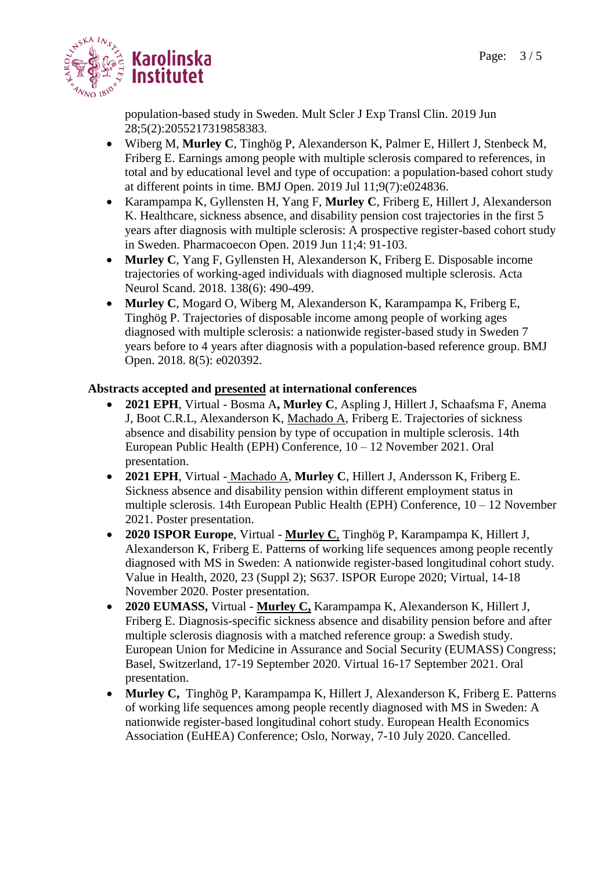

population-based study in Sweden. Mult Scler J Exp Transl Clin. 2019 Jun 28;5(2):2055217319858383.

- Wiberg M, **Murley C**, Tinghög P, Alexanderson K, Palmer E, Hillert J, Stenbeck M, Friberg E. Earnings among people with multiple sclerosis compared to references, in total and by educational level and type of occupation: a population-based cohort study at different points in time. BMJ Open. 2019 Jul 11;9(7):e024836.
- Karampampa K, Gyllensten H, Yang F, **Murley C**, Friberg E, Hillert J, Alexanderson K. Healthcare, sickness absence, and disability pension cost trajectories in the first 5 years after diagnosis with multiple sclerosis: A prospective register-based cohort study in Sweden. Pharmacoecon Open. 2019 Jun 11;4: 91-103.
- **Murley C**, Yang F, Gyllensten H, Alexanderson K, Friberg E. Disposable income trajectories of working-aged individuals with diagnosed multiple sclerosis. Acta Neurol Scand. 2018. 138(6): 490-499.
- **Murley C**, Mogard O, Wiberg M, Alexanderson K, Karampampa K, Friberg E, Tinghög P. Trajectories of disposable income among people of working ages diagnosed with multiple sclerosis: a nationwide register-based study in Sweden 7 years before to 4 years after diagnosis with a population-based reference group. BMJ Open. 2018. 8(5): e020392.

#### **Abstracts accepted and presented at international conferences**

- **2021 EPH**, Virtual Bosma A**, Murley C**, Aspling J, Hillert J, Schaafsma F, Anema J, Boot C.R.L, Alexanderson K, Machado A, Friberg E. Trajectories of sickness absence and disability pension by type of occupation in multiple sclerosis. 14th European Public Health (EPH) Conference, 10 – 12 November 2021. Oral presentation.
- **2021 EPH**, Virtual Machado A, **Murley C**, Hillert J, Andersson K, Friberg E. Sickness absence and disability pension within different employment status in multiple sclerosis. 14th European Public Health (EPH) Conference, 10 – 12 November 2021. Poster presentation.
- **2020 ISPOR Europe**, Virtual **Murley C**, Tinghög P, Karampampa K, Hillert J, Alexanderson K, Friberg E. Patterns of working life sequences among people recently diagnosed with MS in Sweden: A nationwide register-based longitudinal cohort study. Value in Health, 2020, 23 (Suppl 2); S637. ISPOR Europe 2020; Virtual, 14-18 November 2020. Poster presentation.
- **2020 EUMASS,** Virtual **Murley C,** Karampampa K, Alexanderson K, Hillert J, Friberg E. Diagnosis-specific sickness absence and disability pension before and after multiple sclerosis diagnosis with a matched reference group: a Swedish study. European Union for Medicine in Assurance and Social Security (EUMASS) Congress; Basel, Switzerland, 17-19 September 2020. Virtual 16-17 September 2021. Oral presentation.
- **Murley C,** Tinghög P, Karampampa K, Hillert J, Alexanderson K, Friberg E. Patterns of working life sequences among people recently diagnosed with MS in Sweden: A nationwide register-based longitudinal cohort study. European Health Economics Association (EuHEA) Conference; Oslo, Norway, 7-10 July 2020. Cancelled.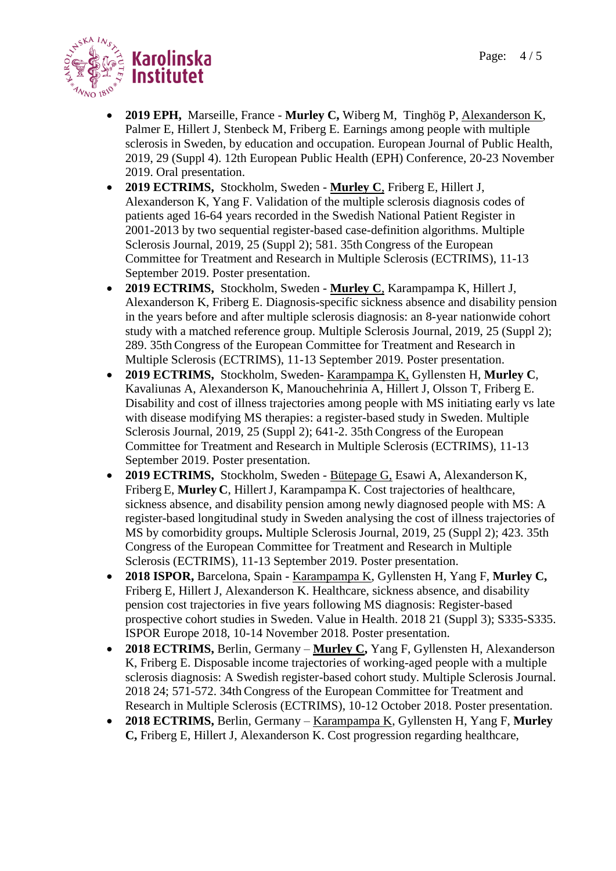

- **2019 EPH,** Marseille, France **Murley C,** Wiberg M, Tinghög P, Alexanderson K, Palmer E, Hillert J, Stenbeck M, Friberg E. Earnings among people with multiple sclerosis in Sweden, by education and occupation. European Journal of Public Health, 2019, 29 (Suppl 4). 12th European Public Health (EPH) Conference, 20-23 November 2019. Oral presentation.
- **2019 ECTRIMS,** Stockholm, Sweden **Murley C**, Friberg E, Hillert J, Alexanderson K, Yang F. Validation of the multiple sclerosis diagnosis codes of patients aged 16-64 years recorded in the Swedish National Patient Register in 2001-2013 by two sequential register-based case-definition algorithms. Multiple Sclerosis Journal, 2019, 25 (Suppl 2); 581. 35th Congress of the European Committee for Treatment and Research in Multiple Sclerosis (ECTRIMS), 11-13 September 2019. Poster presentation.
- **2019 ECTRIMS,** Stockholm, Sweden **Murley C**, Karampampa K, Hillert J, Alexanderson K, Friberg E. Diagnosis-specific sickness absence and disability pension in the years before and after multiple sclerosis diagnosis: an 8-year nationwide cohort study with a matched reference group. Multiple Sclerosis Journal, 2019, 25 (Suppl 2); 289. 35th Congress of the European Committee for Treatment and Research in Multiple Sclerosis (ECTRIMS), 11-13 September 2019. Poster presentation.
- **2019 ECTRIMS,** Stockholm, Sweden- Karampampa K, Gyllensten H, **Murley C**, Kavaliunas A, Alexanderson K, Manouchehrinia A, Hillert J, Olsson T, Friberg E. Disability and cost of illness trajectories among people with MS initiating early vs late with disease modifying MS therapies: a register-based study in Sweden. Multiple Sclerosis Journal, 2019, 25 (Suppl 2); 641-2. 35th Congress of the European Committee for Treatment and Research in Multiple Sclerosis (ECTRIMS), 11-13 September 2019. Poster presentation.
- **2019 ECTRIMS,** Stockholm, Sweden Bütepage G, Esawi A, Alexanderson K, Friberg E, **Murley C**, HillertJ, Karampampa K. Cost trajectories of healthcare, sickness absence, and disability pension among newly diagnosed people with MS: A register-based longitudinal study in Sweden analysing the cost of illness trajectories of MS by comorbidity groups**.** Multiple Sclerosis Journal, 2019, 25 (Suppl 2); 423. 35th Congress of the European Committee for Treatment and Research in Multiple Sclerosis (ECTRIMS), 11-13 September 2019. Poster presentation.
- **2018 ISPOR,** Barcelona, Spain Karampampa K, Gyllensten H, Yang F, **Murley C,**  Friberg E, Hillert J, Alexanderson K. Healthcare, sickness absence, and disability pension cost trajectories in five years following MS diagnosis: Register-based prospective cohort studies in Sweden. Value in Health. 2018 21 (Suppl 3); S335-S335. ISPOR Europe 2018, 10-14 November 2018. Poster presentation.
- **2018 ECTRIMS,** Berlin, Germany **Murley C,** Yang F, Gyllensten H, Alexanderson K, Friberg E. Disposable income trajectories of working-aged people with a multiple sclerosis diagnosis: A Swedish register-based cohort study. Multiple Sclerosis Journal. 2018 24; 571-572. 34th Congress of the European Committee for Treatment and Research in Multiple Sclerosis (ECTRIMS), 10-12 October 2018. Poster presentation.
- **2018 ECTRIMS,** Berlin, Germany Karampampa K, Gyllensten H, Yang F, **Murley C,** Friberg E, Hillert J, Alexanderson K. Cost progression regarding healthcare,